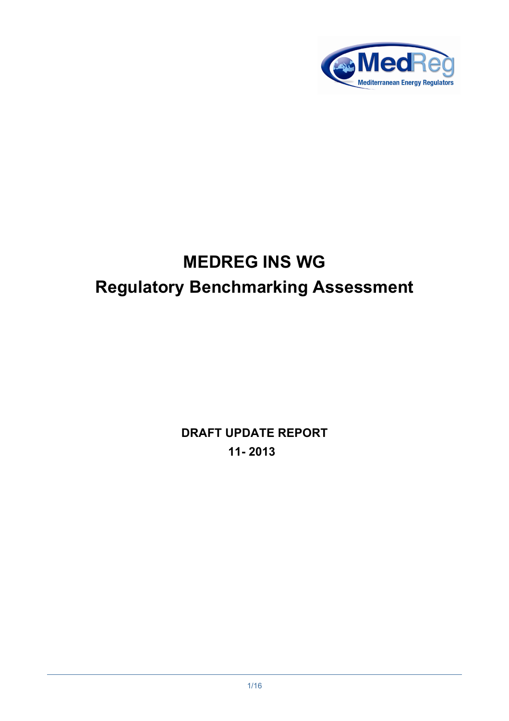

# **MEDREG INS WG Regulatory Benchmarking Assessment**

**DRAFT UPDATE REPORT 11- 2013**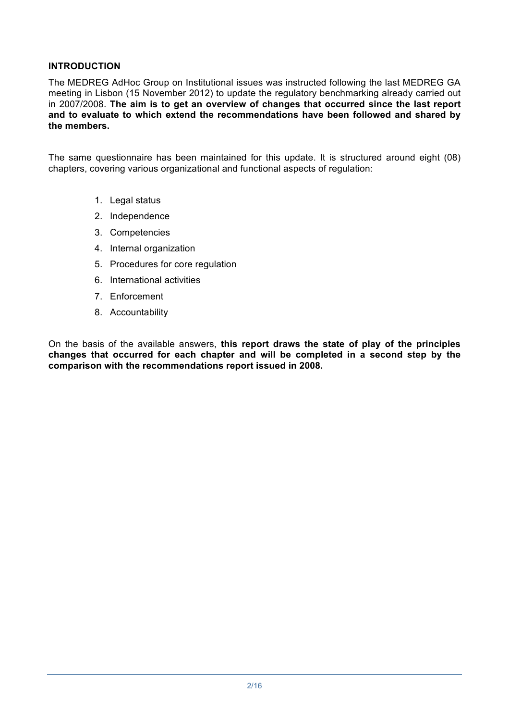# **INTRODUCTION**

The MEDREG AdHoc Group on Institutional issues was instructed following the last MEDREG GA meeting in Lisbon (15 November 2012) to update the regulatory benchmarking already carried out in 2007/2008. **The aim is to get an overview of changes that occurred since the last report and to evaluate to which extend the recommendations have been followed and shared by the members.**

The same questionnaire has been maintained for this update. It is structured around eight (08) chapters, covering various organizational and functional aspects of regulation:

- 1. Legal status
- 2. Independence
- 3. Competencies
- 4. Internal organization
- 5. Procedures for core regulation
- 6. International activities
- 7. Enforcement
- 8. Accountability

On the basis of the available answers, **this report draws the state of play of the principles changes that occurred for each chapter and will be completed in a second step by the comparison with the recommendations report issued in 2008.**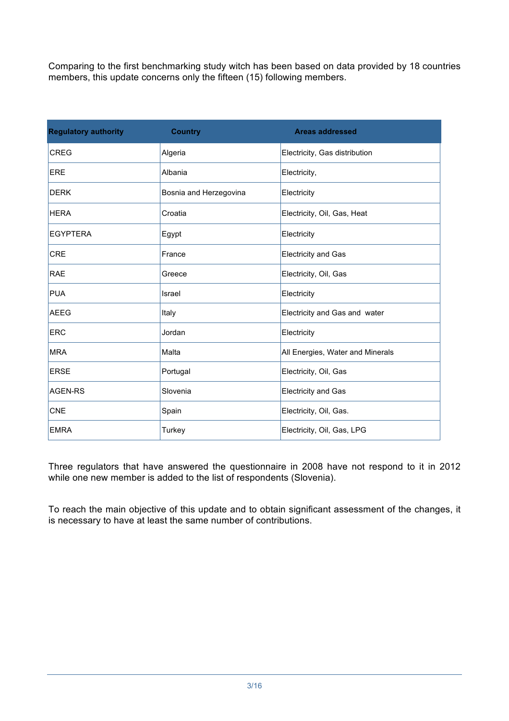Comparing to the first benchmarking study witch has been based on data provided by 18 countries members, this update concerns only the fifteen (15) following members.

| <b>Regulatory authority</b> | <b>Country</b>         | <b>Areas addressed</b>           |
|-----------------------------|------------------------|----------------------------------|
| <b>CREG</b>                 | Algeria                | Electricity, Gas distribution    |
| ERE                         | Albania                | Electricity,                     |
| <b>DERK</b>                 | Bosnia and Herzegovina | Electricity                      |
| <b>HERA</b>                 | Croatia                | Electricity, Oil, Gas, Heat      |
| <b>EGYPTERA</b>             | Egypt                  | Electricity                      |
| <b>CRE</b>                  | France                 | <b>Electricity and Gas</b>       |
| <b>RAE</b>                  | Greece                 | Electricity, Oil, Gas            |
| PUA                         | Israel                 | Electricity                      |
| AEEG                        | Italy                  | Electricity and Gas and water    |
| <b>ERC</b>                  | Jordan                 | Electricity                      |
| <b>MRA</b>                  | Malta                  | All Energies, Water and Minerals |
| <b>ERSE</b>                 | Portugal               | Electricity, Oil, Gas            |
| AGEN-RS                     | Slovenia               | <b>Electricity and Gas</b>       |
| <b>CNE</b>                  | Spain                  | Electricity, Oil, Gas.           |
| <b>EMRA</b>                 | Turkey                 | Electricity, Oil, Gas, LPG       |

Three regulators that have answered the questionnaire in 2008 have not respond to it in 2012 while one new member is added to the list of respondents (Slovenia).

To reach the main objective of this update and to obtain significant assessment of the changes, it is necessary to have at least the same number of contributions.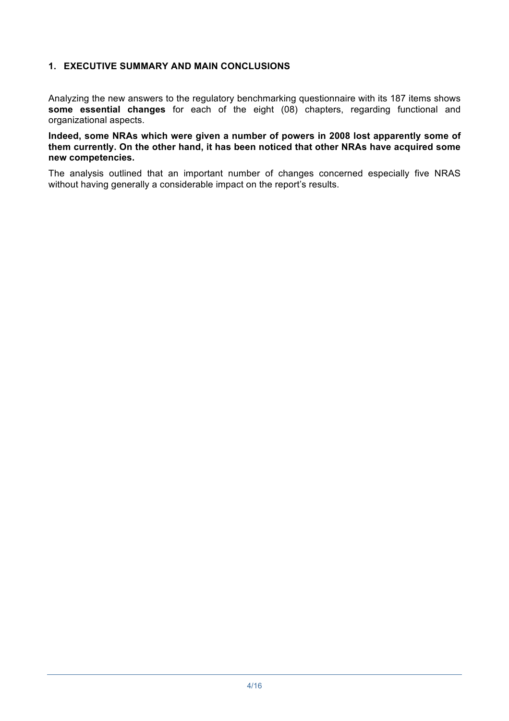# **1. EXECUTIVE SUMMARY AND MAIN CONCLUSIONS**

Analyzing the new answers to the regulatory benchmarking questionnaire with its 187 items shows **some essential changes** for each of the eight (08) chapters, regarding functional and organizational aspects.

**Indeed, some NRAs which were given a number of powers in 2008 lost apparently some of them currently. On the other hand, it has been noticed that other NRAs have acquired some new competencies.** 

The analysis outlined that an important number of changes concerned especially five NRAS without having generally a considerable impact on the report's results.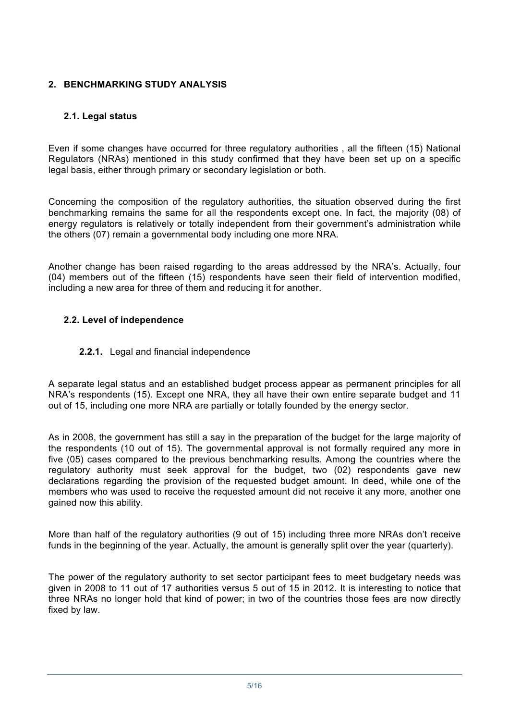# **2. BENCHMARKING STUDY ANALYSIS**

# **2.1. Legal status**

Even if some changes have occurred for three regulatory authorities , all the fifteen (15) National Regulators (NRAs) mentioned in this study confirmed that they have been set up on a specific legal basis, either through primary or secondary legislation or both.

Concerning the composition of the regulatory authorities, the situation observed during the first benchmarking remains the same for all the respondents except one. In fact, the majority (08) of energy regulators is relatively or totally independent from their government's administration while the others (07) remain a governmental body including one more NRA.

Another change has been raised regarding to the areas addressed by the NRA's. Actually, four (04) members out of the fifteen (15) respondents have seen their field of intervention modified, including a new area for three of them and reducing it for another.

# **2.2. Level of independence**

**2.2.1.** Legal and financial independence

A separate legal status and an established budget process appear as permanent principles for all NRA's respondents (15). Except one NRA, they all have their own entire separate budget and 11 out of 15, including one more NRA are partially or totally founded by the energy sector.

As in 2008, the government has still a say in the preparation of the budget for the large majority of the respondents (10 out of 15). The governmental approval is not formally required any more in five (05) cases compared to the previous benchmarking results. Among the countries where the regulatory authority must seek approval for the budget, two (02) respondents gave new declarations regarding the provision of the requested budget amount. In deed, while one of the members who was used to receive the requested amount did not receive it any more, another one gained now this ability.

More than half of the regulatory authorities (9 out of 15) including three more NRAs don't receive funds in the beginning of the year. Actually, the amount is generally split over the year (quarterly).

The power of the regulatory authority to set sector participant fees to meet budgetary needs was given in 2008 to 11 out of 17 authorities versus 5 out of 15 in 2012. It is interesting to notice that three NRAs no longer hold that kind of power; in two of the countries those fees are now directly fixed by law.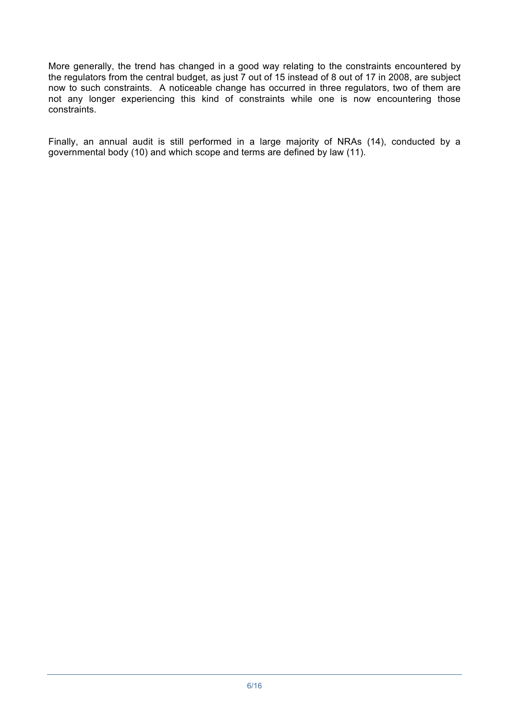More generally, the trend has changed in a good way relating to the constraints encountered by the regulators from the central budget, as just 7 out of 15 instead of 8 out of 17 in 2008, are subject now to such constraints. A noticeable change has occurred in three regulators, two of them are not any longer experiencing this kind of constraints while one is now encountering those constraints.

Finally, an annual audit is still performed in a large majority of NRAs (14), conducted by a governmental body (10) and which scope and terms are defined by law (11).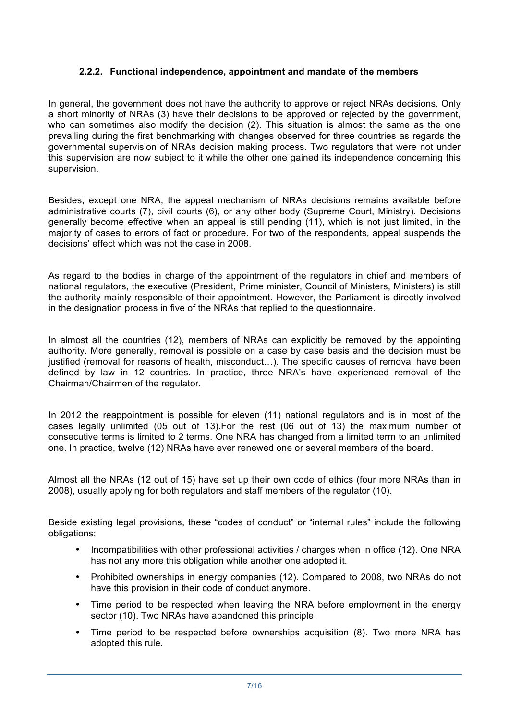# **2.2.2. Functional independence, appointment and mandate of the members**

In general, the government does not have the authority to approve or reject NRAs decisions. Only a short minority of NRAs (3) have their decisions to be approved or rejected by the government, who can sometimes also modify the decision (2). This situation is almost the same as the one prevailing during the first benchmarking with changes observed for three countries as regards the governmental supervision of NRAs decision making process. Two regulators that were not under this supervision are now subject to it while the other one gained its independence concerning this supervision.

Besides, except one NRA, the appeal mechanism of NRAs decisions remains available before administrative courts (7), civil courts (6), or any other body (Supreme Court, Ministry). Decisions generally become effective when an appeal is still pending (11), which is not just limited, in the majority of cases to errors of fact or procedure. For two of the respondents, appeal suspends the decisions' effect which was not the case in 2008.

As regard to the bodies in charge of the appointment of the regulators in chief and members of national regulators, the executive (President, Prime minister, Council of Ministers, Ministers) is still the authority mainly responsible of their appointment. However, the Parliament is directly involved in the designation process in five of the NRAs that replied to the questionnaire.

In almost all the countries (12), members of NRAs can explicitly be removed by the appointing authority. More generally, removal is possible on a case by case basis and the decision must be justified (removal for reasons of health, misconduct...). The specific causes of removal have been defined by law in 12 countries. In practice, three NRA's have experienced removal of the Chairman/Chairmen of the regulator.

In 2012 the reappointment is possible for eleven (11) national regulators and is in most of the cases legally unlimited (05 out of 13).For the rest (06 out of 13) the maximum number of consecutive terms is limited to 2 terms. One NRA has changed from a limited term to an unlimited one. In practice, twelve (12) NRAs have ever renewed one or several members of the board.

Almost all the NRAs (12 out of 15) have set up their own code of ethics (four more NRAs than in 2008), usually applying for both regulators and staff members of the regulator (10).

Beside existing legal provisions, these "codes of conduct" or "internal rules" include the following obligations:

- Incompatibilities with other professional activities / charges when in office (12). One NRA has not any more this obligation while another one adopted it.
- Prohibited ownerships in energy companies (12). Compared to 2008, two NRAs do not have this provision in their code of conduct anymore.
- Time period to be respected when leaving the NRA before employment in the energy sector (10). Two NRAs have abandoned this principle.
- Time period to be respected before ownerships acquisition (8). Two more NRA has adopted this rule.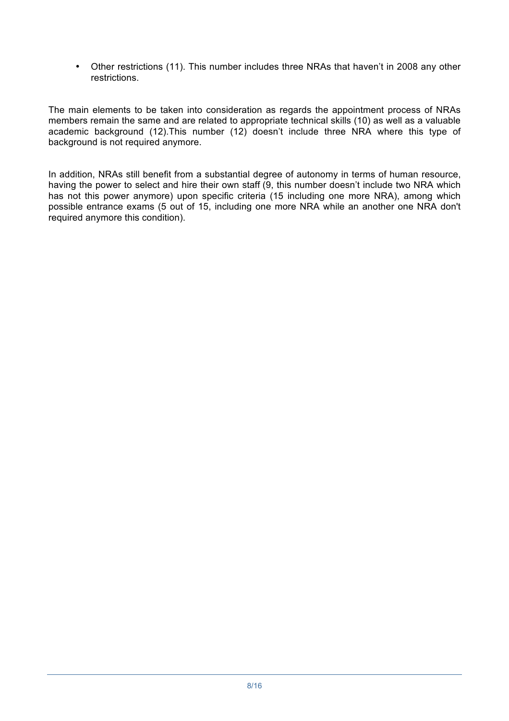• Other restrictions (11). This number includes three NRAs that haven't in 2008 any other restrictions.

The main elements to be taken into consideration as regards the appointment process of NRAs members remain the same and are related to appropriate technical skills (10) as well as a valuable academic background (12).This number (12) doesn't include three NRA where this type of background is not required anymore.

In addition, NRAs still benefit from a substantial degree of autonomy in terms of human resource, having the power to select and hire their own staff (9, this number doesn't include two NRA which has not this power anymore) upon specific criteria (15 including one more NRA), among which possible entrance exams (5 out of 15, including one more NRA while an another one NRA don't required anymore this condition).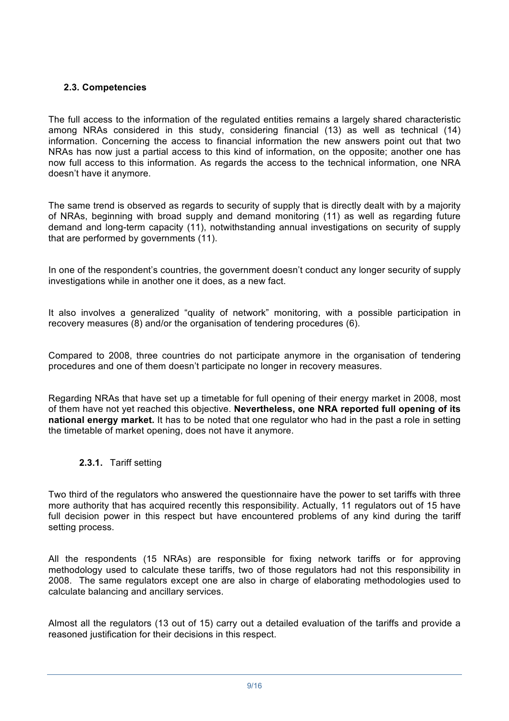# **2.3. Competencies**

The full access to the information of the regulated entities remains a largely shared characteristic among NRAs considered in this study, considering financial (13) as well as technical (14) information. Concerning the access to financial information the new answers point out that two NRAs has now just a partial access to this kind of information, on the opposite; another one has now full access to this information. As regards the access to the technical information, one NRA doesn't have it anymore.

The same trend is observed as regards to security of supply that is directly dealt with by a majority of NRAs, beginning with broad supply and demand monitoring (11) as well as regarding future demand and long-term capacity (11), notwithstanding annual investigations on security of supply that are performed by governments (11).

In one of the respondent's countries, the government doesn't conduct any longer security of supply investigations while in another one it does, as a new fact.

It also involves a generalized "quality of network" monitoring, with a possible participation in recovery measures (8) and/or the organisation of tendering procedures (6).

Compared to 2008, three countries do not participate anymore in the organisation of tendering procedures and one of them doesn't participate no longer in recovery measures.

Regarding NRAs that have set up a timetable for full opening of their energy market in 2008, most of them have not yet reached this objective. **Nevertheless, one NRA reported full opening of its national energy market.** It has to be noted that one regulator who had in the past a role in setting the timetable of market opening, does not have it anymore.

# **2.3.1.** Tariff setting

Two third of the regulators who answered the questionnaire have the power to set tariffs with three more authority that has acquired recently this responsibility. Actually, 11 regulators out of 15 have full decision power in this respect but have encountered problems of any kind during the tariff setting process.

All the respondents (15 NRAs) are responsible for fixing network tariffs or for approving methodology used to calculate these tariffs, two of those regulators had not this responsibility in 2008. The same regulators except one are also in charge of elaborating methodologies used to calculate balancing and ancillary services.

Almost all the regulators (13 out of 15) carry out a detailed evaluation of the tariffs and provide a reasoned justification for their decisions in this respect.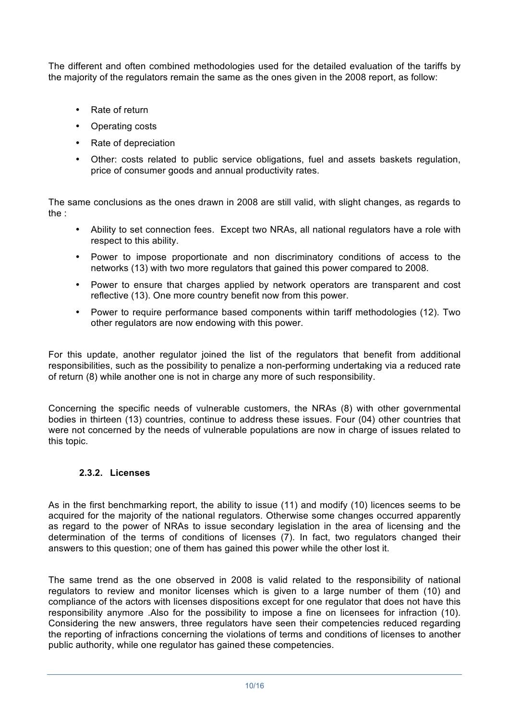The different and often combined methodologies used for the detailed evaluation of the tariffs by the majority of the regulators remain the same as the ones given in the 2008 report, as follow:

- Rate of return
- Operating costs
- Rate of depreciation
- Other: costs related to public service obligations, fuel and assets baskets regulation, price of consumer goods and annual productivity rates.

The same conclusions as the ones drawn in 2008 are still valid, with slight changes, as regards to the :

- Ability to set connection fees. Except two NRAs, all national regulators have a role with respect to this ability.
- Power to impose proportionate and non discriminatory conditions of access to the networks (13) with two more regulators that gained this power compared to 2008.
- Power to ensure that charges applied by network operators are transparent and cost reflective (13). One more country benefit now from this power.
- Power to require performance based components within tariff methodologies (12). Two other regulators are now endowing with this power.

For this update, another regulator joined the list of the regulators that benefit from additional responsibilities, such as the possibility to penalize a non-performing undertaking via a reduced rate of return (8) while another one is not in charge any more of such responsibility.

Concerning the specific needs of vulnerable customers, the NRAs (8) with other governmental bodies in thirteen (13) countries, continue to address these issues. Four (04) other countries that were not concerned by the needs of vulnerable populations are now in charge of issues related to this topic.

# **2.3.2. Licenses**

As in the first benchmarking report, the ability to issue (11) and modify (10) licences seems to be acquired for the majority of the national regulators. Otherwise some changes occurred apparently as regard to the power of NRAs to issue secondary legislation in the area of licensing and the determination of the terms of conditions of licenses (7). In fact, two regulators changed their answers to this question; one of them has gained this power while the other lost it.

The same trend as the one observed in 2008 is valid related to the responsibility of national regulators to review and monitor licenses which is given to a large number of them (10) and compliance of the actors with licenses dispositions except for one regulator that does not have this responsibility anymore .Also for the possibility to impose a fine on licensees for infraction (10). Considering the new answers, three regulators have seen their competencies reduced regarding the reporting of infractions concerning the violations of terms and conditions of licenses to another public authority, while one regulator has gained these competencies.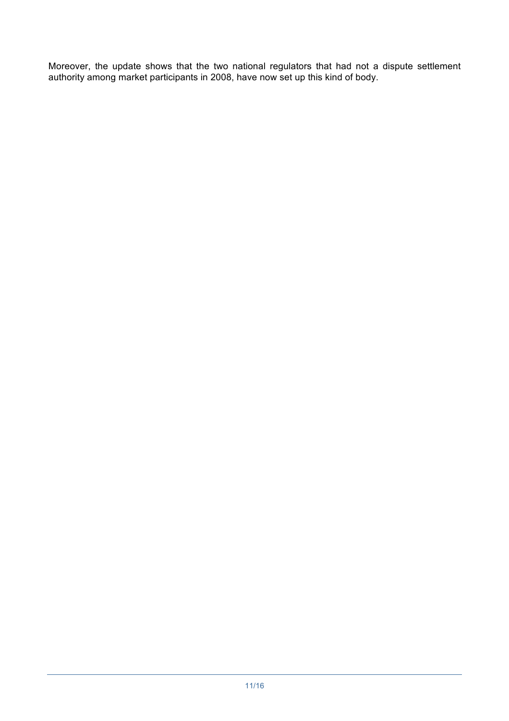Moreover, the update shows that the two national regulators that had not a dispute settlement authority among market participants in 2008, have now set up this kind of body.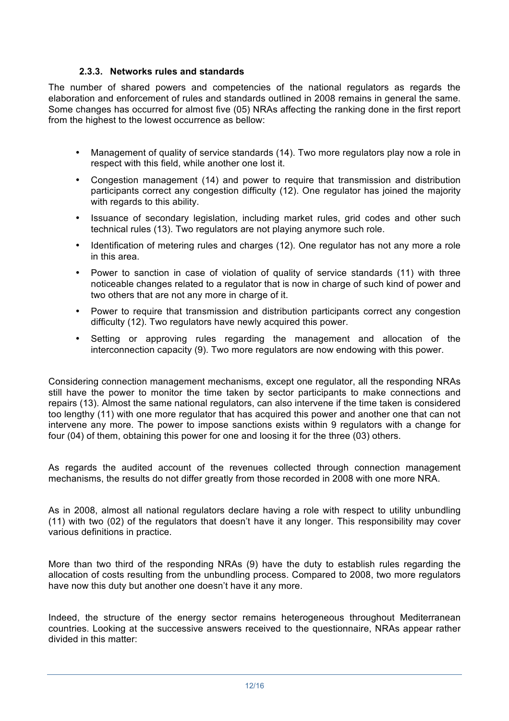### **2.3.3. Networks rules and standards**

The number of shared powers and competencies of the national regulators as regards the elaboration and enforcement of rules and standards outlined in 2008 remains in general the same. Some changes has occurred for almost five (05) NRAs affecting the ranking done in the first report from the highest to the lowest occurrence as bellow:

- Management of quality of service standards (14). Two more regulators play now a role in respect with this field, while another one lost it.
- Congestion management (14) and power to require that transmission and distribution participants correct any congestion difficulty (12). One regulator has joined the majority with regards to this ability.
- Issuance of secondary legislation, including market rules, grid codes and other such technical rules (13). Two regulators are not playing anymore such role.
- Identification of metering rules and charges (12). One regulator has not any more a role in this area.
- Power to sanction in case of violation of quality of service standards (11) with three noticeable changes related to a regulator that is now in charge of such kind of power and two others that are not any more in charge of it.
- Power to require that transmission and distribution participants correct any congestion difficulty (12). Two regulators have newly acquired this power.
- Setting or approving rules regarding the management and allocation of the interconnection capacity (9). Two more regulators are now endowing with this power.

Considering connection management mechanisms, except one regulator, all the responding NRAs still have the power to monitor the time taken by sector participants to make connections and repairs (13). Almost the same national regulators, can also intervene if the time taken is considered too lengthy (11) with one more regulator that has acquired this power and another one that can not intervene any more. The power to impose sanctions exists within 9 regulators with a change for four (04) of them, obtaining this power for one and loosing it for the three (03) others.

As regards the audited account of the revenues collected through connection management mechanisms, the results do not differ greatly from those recorded in 2008 with one more NRA.

As in 2008, almost all national regulators declare having a role with respect to utility unbundling (11) with two (02) of the regulators that doesn't have it any longer. This responsibility may cover various definitions in practice.

More than two third of the responding NRAs (9) have the duty to establish rules regarding the allocation of costs resulting from the unbundling process. Compared to 2008, two more regulators have now this duty but another one doesn't have it any more.

Indeed, the structure of the energy sector remains heterogeneous throughout Mediterranean countries. Looking at the successive answers received to the questionnaire, NRAs appear rather divided in this matter: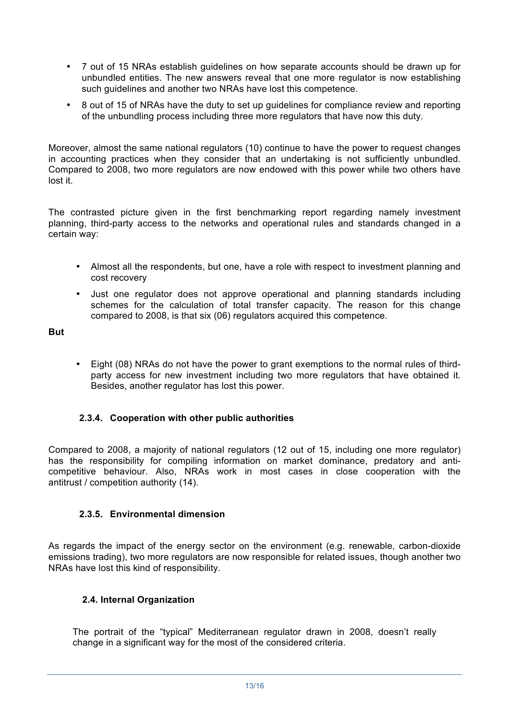- 7 out of 15 NRAs establish guidelines on how separate accounts should be drawn up for unbundled entities. The new answers reveal that one more regulator is now establishing such guidelines and another two NRAs have lost this competence.
- 8 out of 15 of NRAs have the duty to set up guidelines for compliance review and reporting of the unbundling process including three more regulators that have now this duty.

Moreover, almost the same national regulators (10) continue to have the power to request changes in accounting practices when they consider that an undertaking is not sufficiently unbundled. Compared to 2008, two more regulators are now endowed with this power while two others have lost it.

The contrasted picture given in the first benchmarking report regarding namely investment planning, third-party access to the networks and operational rules and standards changed in a certain way:

- Almost all the respondents, but one, have a role with respect to investment planning and cost recovery
- Just one regulator does not approve operational and planning standards including schemes for the calculation of total transfer capacity. The reason for this change compared to 2008, is that six (06) regulators acquired this competence.

**But**

• Eight (08) NRAs do not have the power to grant exemptions to the normal rules of thirdparty access for new investment including two more regulators that have obtained it. Besides, another regulator has lost this power.

# **2.3.4. Cooperation with other public authorities**

Compared to 2008, a majority of national regulators (12 out of 15, including one more regulator) has the responsibility for compiling information on market dominance, predatory and anticompetitive behaviour. Also, NRAs work in most cases in close cooperation with the antitrust / competition authority (14).

# **2.3.5. Environmental dimension**

As regards the impact of the energy sector on the environment (e.g. renewable, carbon-dioxide emissions trading), two more regulators are now responsible for related issues, though another two NRAs have lost this kind of responsibility.

# **2.4. Internal Organization**

The portrait of the "typical" Mediterranean regulator drawn in 2008, doesn't really change in a significant way for the most of the considered criteria.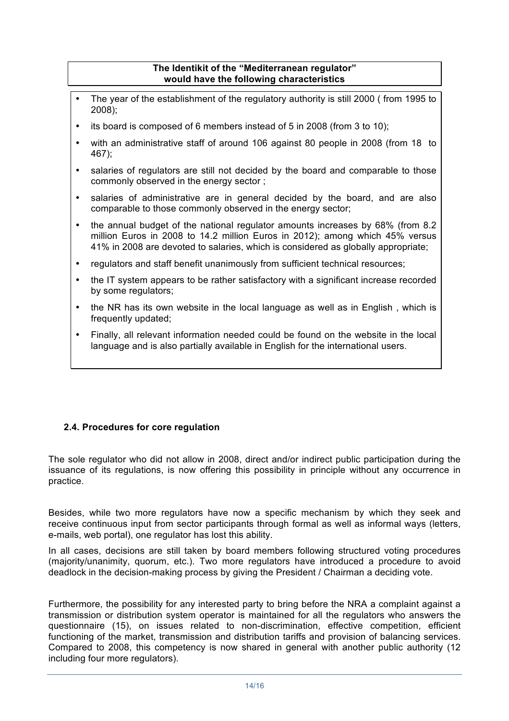#### **The Identikit of the "Mediterranean regulator" would have the following characteristics**

- The year of the establishment of the regulatory authority is still 2000 ( from 1995 to 2008);
- its board is composed of 6 members instead of 5 in 2008 (from 3 to 10);
- with an administrative staff of around 106 against 80 people in 2008 (from 18 to 467);
- salaries of regulators are still not decided by the board and comparable to those commonly observed in the energy sector ;
- salaries of administrative are in general decided by the board, and are also comparable to those commonly observed in the energy sector;
- the annual budget of the national regulator amounts increases by 68% (from 8.2 million Euros in 2008 to 14.2 million Euros in 2012); among which 45% versus 41% in 2008 are devoted to salaries, which is considered as globally appropriate;
- regulators and staff benefit unanimously from sufficient technical resources;
- the IT system appears to be rather satisfactory with a significant increase recorded by some regulators;
- the NR has its own website in the local language as well as in English , which is frequently updated;
- Finally, all relevant information needed could be found on the website in the local language and is also partially available in English for the international users.

# **2.4. Procedures for core regulation**

The sole regulator who did not allow in 2008, direct and/or indirect public participation during the issuance of its regulations, is now offering this possibility in principle without any occurrence in practice.

Besides, while two more regulators have now a specific mechanism by which they seek and receive continuous input from sector participants through formal as well as informal ways (letters, e-mails, web portal), one regulator has lost this ability.

In all cases, decisions are still taken by board members following structured voting procedures (majority/unanimity, quorum, etc.). Two more regulators have introduced a procedure to avoid deadlock in the decision-making process by giving the President / Chairman a deciding vote.

Furthermore, the possibility for any interested party to bring before the NRA a complaint against a transmission or distribution system operator is maintained for all the regulators who answers the questionnaire (15), on issues related to non-discrimination, effective competition, efficient functioning of the market, transmission and distribution tariffs and provision of balancing services. Compared to 2008, this competency is now shared in general with another public authority (12 including four more regulators).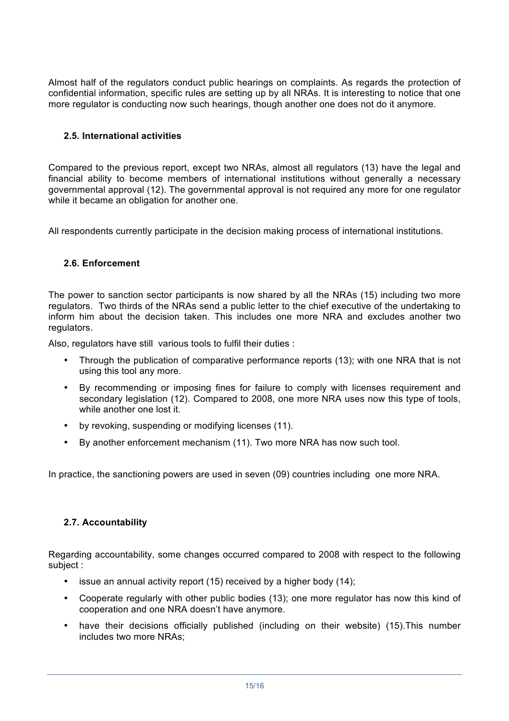Almost half of the regulators conduct public hearings on complaints. As regards the protection of confidential information, specific rules are setting up by all NRAs. It is interesting to notice that one more regulator is conducting now such hearings, though another one does not do it anymore.

# **2.5. International activities**

Compared to the previous report, except two NRAs, almost all regulators (13) have the legal and financial ability to become members of international institutions without generally a necessary governmental approval (12). The governmental approval is not required any more for one regulator while it became an obligation for another one.

All respondents currently participate in the decision making process of international institutions.

# **2.6. Enforcement**

The power to sanction sector participants is now shared by all the NRAs (15) including two more regulators. Two thirds of the NRAs send a public letter to the chief executive of the undertaking to inform him about the decision taken. This includes one more NRA and excludes another two regulators.

Also, regulators have still various tools to fulfil their duties :

- Through the publication of comparative performance reports (13); with one NRA that is not using this tool any more.
- By recommending or imposing fines for failure to comply with licenses requirement and secondary legislation (12). Compared to 2008, one more NRA uses now this type of tools, while another one lost it.
- by revoking, suspending or modifying licenses (11).
- By another enforcement mechanism (11). Two more NRA has now such tool.

In practice, the sanctioning powers are used in seven (09) countries including one more NRA.

# **2.7. Accountability**

Regarding accountability, some changes occurred compared to 2008 with respect to the following subject :

- issue an annual activity report (15) received by a higher body (14);
- Cooperate regularly with other public bodies (13); one more regulator has now this kind of cooperation and one NRA doesn't have anymore.
- have their decisions officially published (including on their website) (15).This number includes two more NRAs;